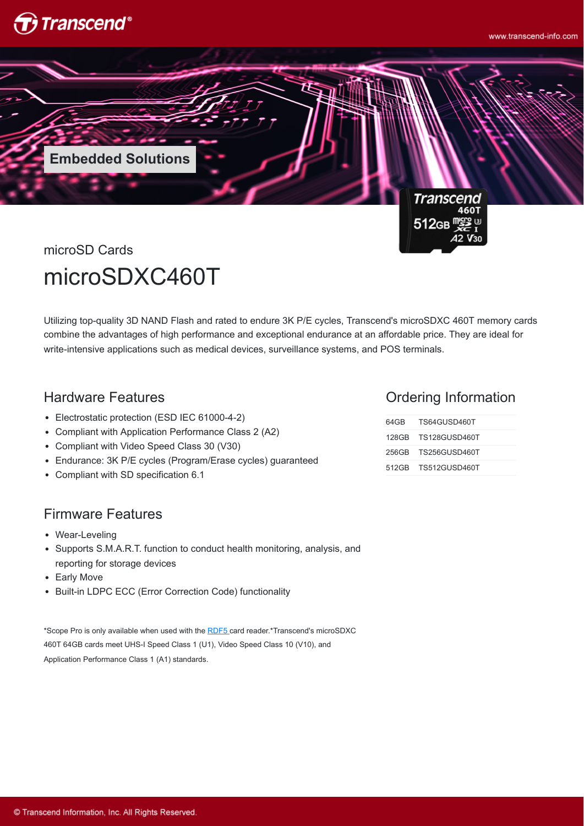

**Transcend** 460T  $512$ св $^{\sf m}$ 

microSD Cards microSDXC460T

**Embedded Solutions**

Utilizing top-quality 3D NAND Flash and rated to endure 3K P/E cycles, Transcend's microSDXC 460T memory cards combine the advantages of high performance and exceptional endurance at an affordable price. They are ideal for write-intensive applications such as medical devices, surveillance systems, and POS terminals.

## Hardware Features

- Electrostatic protection (ESD IEC 61000-4-2)
- Compliant with Application Performance Class 2 (A2)
- Compliant with Video Speed Class 30 (V30)
- Endurance: 3K P/E cycles (Program/Erase cycles) guaranteed
- Compliant with SD specification 6.1

### Firmware Features

- Wear-Leveling
- Supports S.M.A.R.T. function to conduct health monitoring, analysis, and reporting for storage devices
- Early Move
- Built-in LDPC ECC (Error Correction Code) functionality

\*Scope Pro is only available when used with the [RDF5](http://twms.transcend-info.com/Products/No-396) card reader.\*Transcend's microSDXC 460T 64GB cards meet UHS-I Speed Class 1 (U1), Video Speed Class 10 (V10), and Application Performance Class 1 (A1) standards.

#### Ordering Information

| 64GB TS64GUSD460T   |  |
|---------------------|--|
| 128GB TS128GUSD460T |  |
| 256GB TS256GUSD460T |  |
| 512GB TS512GUSD460T |  |